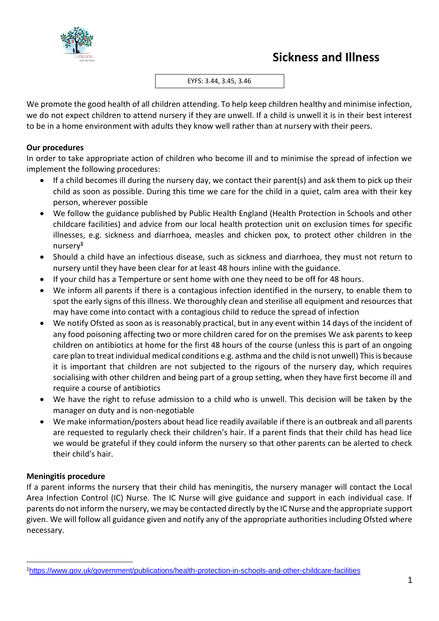

EYFS: 3.44, 3.45, 3.46

We promote the good health of all children attending. To help keep children healthy and minimise infection, we do not expect children to attend nursery if they are unwell. If a child is unwell it is in their best interest to be in a home environment with adults they know well rather than at nursery with their peers.

## **Our procedures**

In order to take appropriate action of children who become ill and to minimise the spread of infection we implement the following procedures:

- If a child becomes ill during the nursery day, we contact their parent(s) and ask them to pick up their child as soon as possible. During this time we care for the child in a quiet, calm area with their key person, wherever possible
- We follow the guidance published by Public Health England (Health Protection in Schools and other childcare facilities) and advice from our local health protection unit on exclusion times for specific illnesses, e.g. sickness and diarrhoea, measles and chicken pox, to protect other children in the nursery**<sup>1</sup>**
- Should a child have an infectious disease, such as sickness and diarrhoea, they must not return to nursery until they have been clear for at least 48 hours inline with the guidance.
- If your child has a Temperture or sent home with one they need to be off for 48 hours.
- We inform all parents if there is a contagious infection identified in the nursery, to enable them to spot the early signs of this illness. We thoroughly clean and sterilise all equipment and resources that may have come into contact with a contagious child to reduce the spread of infection
- We notify Ofsted as soon as is reasonably practical, but in any event within 14 days of the incident of any food poisoning affecting two or more children cared for on the premises We ask parents to keep children on antibiotics at home for the first 48 hours of the course (unless this is part of an ongoing care plan to treat individual medical conditions e.g. asthma and the child is not unwell) This is because it is important that children are not subjected to the rigours of the nursery day, which requires socialising with other children and being part of a group setting, when they have first become ill and require a course of antibiotics
- We have the right to refuse admission to a child who is unwell. This decision will be taken by the manager on duty and is non-negotiable
- We make information/posters about head lice readily available if there is an outbreak and all parents are requested to regularly check their children's hair. If a parent finds that their child has head lice we would be grateful if they could inform the nursery so that other parents can be alerted to check their child's hair.

## **Meningitis procedure**

If a parent informs the nursery that their child has meningitis, the nursery manager will contact the Local Area Infection Control (IC) Nurse. The IC Nurse will give guidance and support in each individual case. If parents do not inform the nursery, we may be contacted directly by the IC Nurse and the appropriate support given. We will follow all guidance given and notify any of the appropriate authorities including Ofsted where necessary.

<sup>1</sup><https://www.gov.uk/government/publications/health-protection-in-schools-and-other-childcare-facilities>